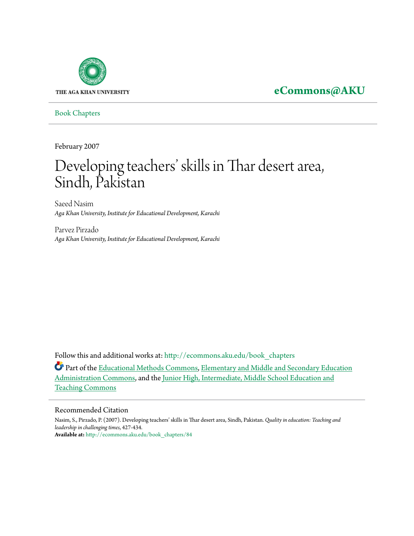

**[eCommons@AKU](http://ecommons.aku.edu?utm_source=ecommons.aku.edu%2Fbook_chapters%2F84&utm_medium=PDF&utm_campaign=PDFCoverPages)**

[Book Chapters](http://ecommons.aku.edu/book_chapters?utm_source=ecommons.aku.edu%2Fbook_chapters%2F84&utm_medium=PDF&utm_campaign=PDFCoverPages)

February 2007

# Developing teachers' skills in Thar desert area, Sindh, Pakistan

Saeed Nasim *Aga Khan University, Institute for Educational Development, Karachi*

Parvez Pirzado *Aga Khan University, Institute for Educational Development, Karachi*

Follow this and additional works at: [http://ecommons.aku.edu/book\\_chapters](http://ecommons.aku.edu/book_chapters?utm_source=ecommons.aku.edu%2Fbook_chapters%2F84&utm_medium=PDF&utm_campaign=PDFCoverPages)

Part of the [Educational Methods Commons,](http://network.bepress.com/hgg/discipline/1227?utm_source=ecommons.aku.edu%2Fbook_chapters%2F84&utm_medium=PDF&utm_campaign=PDFCoverPages) [Elementary and Middle and Secondary Education](http://network.bepress.com/hgg/discipline/790?utm_source=ecommons.aku.edu%2Fbook_chapters%2F84&utm_medium=PDF&utm_campaign=PDFCoverPages) [Administration Commons,](http://network.bepress.com/hgg/discipline/790?utm_source=ecommons.aku.edu%2Fbook_chapters%2F84&utm_medium=PDF&utm_campaign=PDFCoverPages) and the [Junior High, Intermediate, Middle School Education and](http://network.bepress.com/hgg/discipline/807?utm_source=ecommons.aku.edu%2Fbook_chapters%2F84&utm_medium=PDF&utm_campaign=PDFCoverPages) [Teaching Commons](http://network.bepress.com/hgg/discipline/807?utm_source=ecommons.aku.edu%2Fbook_chapters%2F84&utm_medium=PDF&utm_campaign=PDFCoverPages)

#### Recommended Citation

Nasim, S., Pirzado, P. (2007). Developing teachers' skills in Thar desert area, Sindh, Pakistan. *Quality in education: Teaching and leadership in challenging times*, 427-434. **Available at:** [http://ecommons.aku.edu/book\\_chapters/84](http://ecommons.aku.edu/book_chapters/84)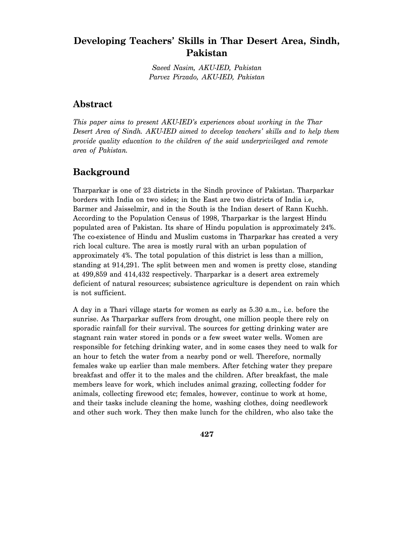### **Developing Teachers' Skills in Thar Desert Area, Sindh, Pakistan**

*Saeed Nasim, AKU-IED, Pakistan Parvez Pirzado, AKU-IED, Pakistan* 

### **Abstract**

*This paper aims to present AKU-IED's experiences about working in the Thar Desert Area of Sindh. AKU-IED aimed to develop teachers' skills and to help them provide quality education to the children of the said underprivileged and remote area of Pakistan.* 

### **Background**

Tharparkar is one of 23 districts in the Sindh province of Pakistan. Tharparkar borders with India on two sides; in the East are two districts of India i.e, Barmer and Jaisselmir, and in the South is the Indian desert of Rann Kuchh. According to the Population Census of 1998, Tharparkar is the largest Hindu populated area of Pakistan. Its share of Hindu population is approximately 24%. The co-existence of Hindu and Muslim customs in Tharparkar has created a very rich local culture. The area is mostly rural with an urban population of approximately 4%. The total population of this district is less than a million, standing at 914,291. The split between men and women is pretty close, standing at 499,859 and 414,432 respectively. Tharparkar is a desert area extremely deficient of natural resources; subsistence agriculture is dependent on rain which is not sufficient.

A day in a Thari village starts for women as early as 5.30 a.m., i.e. before the sunrise. As Tharparkar suffers from drought, one million people there rely on sporadic rainfall for their survival. The sources for getting drinking water are stagnant rain water stored in ponds or a few sweet water wells. Women are responsible for fetching drinking water, and in some cases they need to walk for an hour to fetch the water from a nearby pond or well. Therefore, normally females wake up earlier than male members. After fetching water they prepare breakfast and offer it to the males and the children. After breakfast, the male members leave for work, which includes animal grazing, collecting fodder for animals, collecting firewood etc; females, however, continue to work at home, and their tasks include cleaning the home, washing clothes, doing needlework and other such work. They then make lunch for the children, who also take the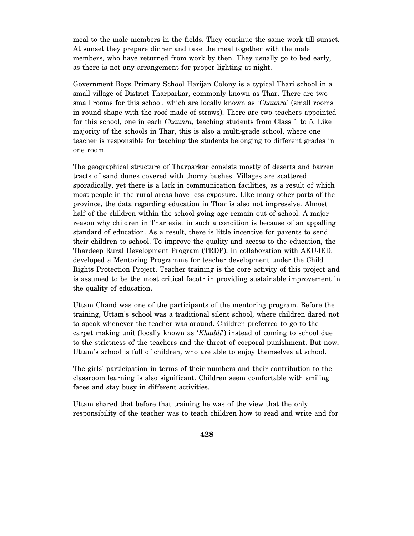meal to the male members in the fields. They continue the same work till sunset. At sunset they prepare dinner and take the meal together with the male members, who have returned from work by then. They usually go to bed early, as there is not any arrangement for proper lighting at night.

Government Boys Primary School Harijan Colony is a typical Thari school in a small village of District Tharparkar, commonly known as Thar. There are two small rooms for this school, which are locally known as '*Chaunra*' (small rooms in round shape with the roof made of straws). There are two teachers appointed for this school, one in each *Chaunra*, teaching students from Class 1 to 5. Like majority of the schools in Thar, this is also a multi-grade school, where one teacher is responsible for teaching the students belonging to different grades in one room.

The geographical structure of Tharparkar consists mostly of deserts and barren tracts of sand dunes covered with thorny bushes. Villages are scattered sporadically, yet there is a lack in communication facilities, as a result of which most people in the rural areas have less exposure. Like many other parts of the province, the data regarding education in Thar is also not impressive. Almost half of the children within the school going age remain out of school. A major reason why children in Thar exist in such a condition is because of an appalling standard of education. As a result, there is little incentive for parents to send their children to school. To improve the quality and access to the education, the Thardeep Rural Development Program (TRDP), in collaboration with AKU-IED, developed a Mentoring Programme for teacher development under the Child Rights Protection Project. Teacher training is the core activity of this project and is assumed to be the most critical facotr in providing sustainable improvement in the quality of education.

Uttam Chand was one of the participants of the mentoring program. Before the training, Uttam's school was a traditional silent school, where children dared not to speak whenever the teacher was around. Children preferred to go to the carpet making unit (locally known as '*Khaddi*') instead of coming to school due to the strictness of the teachers and the threat of corporal punishment. But now, Uttam's school is full of children, who are able to enjoy themselves at school.

The girls' participation in terms of their numbers and their contribution to the classroom learning is also significant. Children seem comfortable with smiling faces and stay busy in different activities.

Uttam shared that before that training he was of the view that the only responsibility of the teacher was to teach children how to read and write and for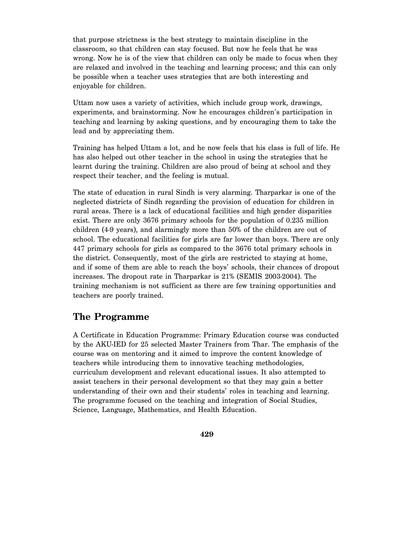that purpose strictness is the best strategy to maintain discipline in the classroom, so that children can stay focused. But now he feels that he was wrong. Now he is of the view that children can only be made to focus when they are relaxed and involved in the teaching and learning process; and this can only be possible when a teacher uses strategies that are both interesting and enjoyable for children.

Uttam now uses a variety of activities, which include group work, drawings, experiments, and brainstorming. Now he encourages children's participation in teaching and learning by asking questions, and by encouraging them to take the lead and by appreciating them.

Training has helped Uttam a lot, and he now feels that his class is full of life. He has also helped out other teacher in the school in using the strategies that he learnt during the training. Children are also proud of being at school and they respect their teacher, and the feeling is mutual.

The state of education in rural Sindh is very alarming. Tharparkar is one of the neglected districts of Sindh regarding the provision of education for children in rural areas. There is a lack of educational facilities and high gender disparities exist. There are only 3676 primary schools for the population of 0.235 million children (4-9 years), and alarmingly more than 50% of the children are out of school. The educational facilities for girls are far lower than boys. There are only 447 primary schools for girls as compared to the 3676 total primary schools in the district. Consequently, most of the girls are restricted to staying at home, and if some of them are able to reach the boys' schools, their chances of dropout increases. The dropout rate in Tharparkar is 21% (SEMIS 2003-2004). The training mechanism is not sufficient as there are few training opportunities and teachers are poorly trained.

### **The Programme**

A Certificate in Education Programme: Primary Education course was conducted by the AKU-IED for 25 selected Master Trainers from Thar. The emphasis of the course was on mentoring and it aimed to improve the content knowledge of teachers while introducing them to innovative teaching methodologies, curriculum development and relevant educational issues. It also attempted to assist teachers in their personal development so that they may gain a better understanding of their own and their students' roles in teaching and learning. The programme focused on the teaching and integration of Social Studies, Science, Language, Mathematics, and Health Education.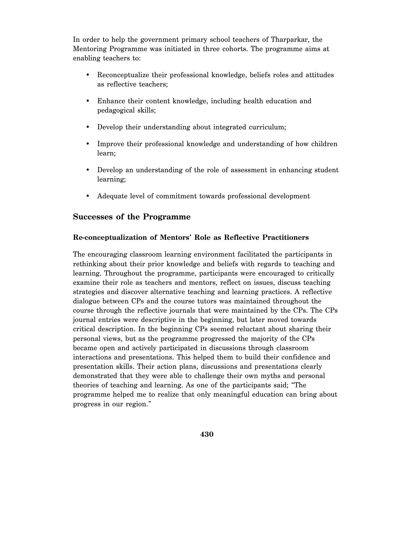In order to help the government primary school teachers of Tharparkar, the Mentoring Programme was initiated in three cohorts. The programme aims at enabling teachers to:

- Reconceptualize their professional knowledge, beliefs roles and attitudes as reflective teachers;
- Enhance their content knowledge, including health education and pedagogical skills;
- Develop their understanding about integrated curriculum;
- Improve their professional knowledge and understanding of how children learn;
- Develop an understanding of the role of assessment in enhancing student learning;
- Adequate level of commitment towards professional development

### **Successes of the Programme**

#### **Re-conceptualization of Mentors' Role as Reflective Practitioners**

The encouraging classroom learning environment facilitated the participants in rethinking about their prior knowledge and beliefs with regards to teaching and learning. Throughout the programme, participants were encouraged to critically examine their role as teachers and mentors, reflect on issues, discuss teaching strategies and discover alternative teaching and learning practices. A reflective dialogue between CPs and the course tutors was maintained throughout the course through the reflective journals that were maintained by the CPs. The CPs journal entries were descriptive in the beginning, but later moved towards critical description. In the beginning CPs seemed reluctant about sharing their personal views, but as the programme progressed the majority of the CPs became open and actively participated in discussions through classroom interactions and presentations. This helped them to build their confidence and presentation skills. Their action plans, discussions and presentations clearly demonstrated that they were able to challenge their own myths and personal theories of teaching and learning. As one of the participants said; "The programme helped me to realize that only meaningful education can bring about progress in our region."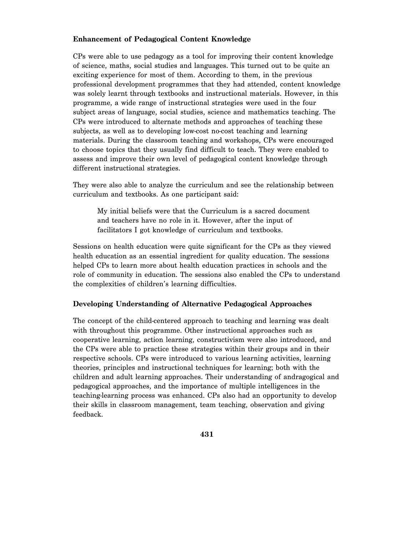#### **Enhancement of Pedagogical Content Knowledge**

CPs were able to use pedagogy as a tool for improving their content knowledge of science, maths, social studies and languages. This turned out to be quite an exciting experience for most of them. According to them, in the previous professional development programmes that they had attended, content knowledge was solely learnt through textbooks and instructional materials. However, in this programme, a wide range of instructional strategies were used in the four subject areas of language, social studies, science and mathematics teaching. The CPs were introduced to alternate methods and approaches of teaching these subjects, as well as to developing low-cost no-cost teaching and learning materials. During the classroom teaching and workshops, CPs were encouraged to choose topics that they usually find difficult to teach. They were enabled to assess and improve their own level of pedagogical content knowledge through different instructional strategies.

They were also able to analyze the curriculum and see the relationship between curriculum and textbooks. As one participant said:

My initial beliefs were that the Curriculum is a sacred document and teachers have no role in it. However, after the input of facilitators I got knowledge of curriculum and textbooks.

Sessions on health education were quite significant for the CPs as they viewed health education as an essential ingredient for quality education. The sessions helped CPs to learn more about health education practices in schools and the role of community in education. The sessions also enabled the CPs to understand the complexities of children's learning difficulties.

#### **Developing Understanding of Alternative Pedagogical Approaches**

The concept of the child-centered approach to teaching and learning was dealt with throughout this programme. Other instructional approaches such as cooperative learning, action learning, constructivism were also introduced, and the CPs were able to practice these strategies within their groups and in their respective schools. CPs were introduced to various learning activities, learning theories, principles and instructional techniques for learning; both with the children and adult learning approaches. Their understanding of andragogical and pedagogical approaches, and the importance of multiple intelligences in the teaching-learning process was enhanced. CPs also had an opportunity to develop their skills in classroom management, team teaching, observation and giving feedback.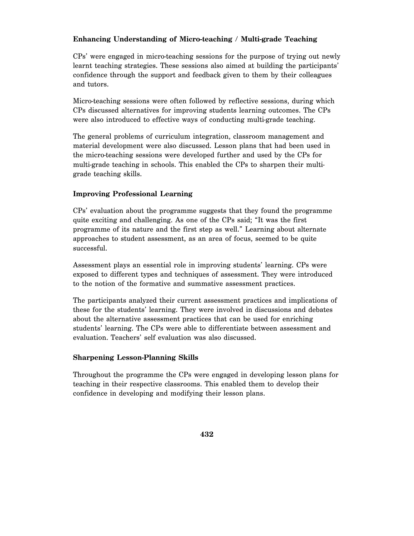#### **Enhancing Understanding of Micro-teaching / Multi-grade Teaching**

CPs' were engaged in micro-teaching sessions for the purpose of trying out newly learnt teaching strategies. These sessions also aimed at building the participants' confidence through the support and feedback given to them by their colleagues and tutors.

Micro-teaching sessions were often followed by reflective sessions, during which CPs discussed alternatives for improving students learning outcomes. The CPs were also introduced to effective ways of conducting multi-grade teaching.

The general problems of curriculum integration, classroom management and material development were also discussed. Lesson plans that had been used in the micro-teaching sessions were developed further and used by the CPs for multi-grade teaching in schools. This enabled the CPs to sharpen their multigrade teaching skills.

#### **Improving Professional Learning**

CPs' evaluation about the programme suggests that they found the programme quite exciting and challenging. As one of the CPs said; "It was the first programme of its nature and the first step as well." Learning about alternate approaches to student assessment, as an area of focus, seemed to be quite successful.

Assessment plays an essential role in improving students' learning. CPs were exposed to different types and techniques of assessment. They were introduced to the notion of the formative and summative assessment practices.

The participants analyzed their current assessment practices and implications of these for the students' learning. They were involved in discussions and debates about the alternative assessment practices that can be used for enriching students' learning. The CPs were able to differentiate between assessment and evaluation. Teachers' self evaluation was also discussed.

#### **Sharpening Lesson-Planning Skills**

Throughout the programme the CPs were engaged in developing lesson plans for teaching in their respective classrooms. This enabled them to develop their confidence in developing and modifying their lesson plans.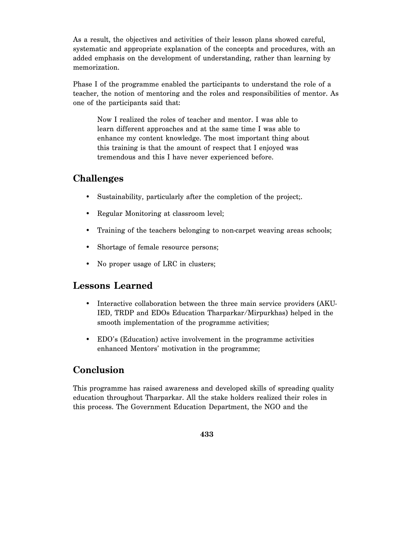As a result, the objectives and activities of their lesson plans showed careful, systematic and appropriate explanation of the concepts and procedures, with an added emphasis on the development of understanding, rather than learning by memorization.

Phase I of the programme enabled the participants to understand the role of a teacher, the notion of mentoring and the roles and responsibilities of mentor. As one of the participants said that:

Now I realized the roles of teacher and mentor. I was able to learn different approaches and at the same time I was able to enhance my content knowledge. The most important thing about this training is that the amount of respect that I enjoyed was tremendous and this I have never experienced before.

### **Challenges**

- Sustainability, particularly after the completion of the project;.
- Regular Monitoring at classroom level;
- Training of the teachers belonging to non-carpet weaving areas schools;
- Shortage of female resource persons;
- No proper usage of LRC in clusters;

# **Lessons Learned**

- Interactive collaboration between the three main service providers (AKU-IED, TRDP and EDOs Education Tharparkar/Mirpurkhas) helped in the smooth implementation of the programme activities;
- EDO's (Education) active involvement in the programme activities enhanced Mentors' motivation in the programme;

# **Conclusion**

This programme has raised awareness and developed skills of spreading quality education throughout Tharparkar. All the stake holders realized their roles in this process. The Government Education Department, the NGO and the